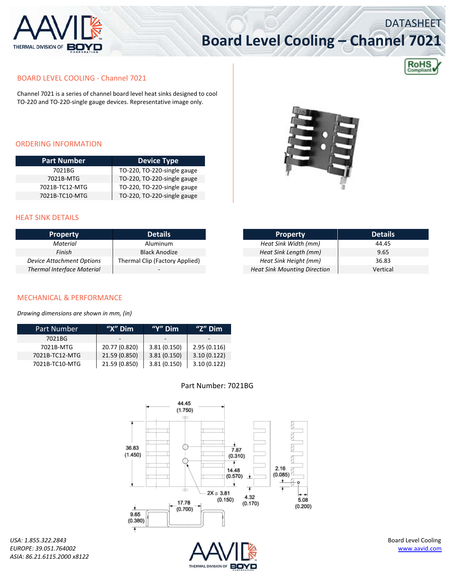

# **Board Level Cooling – Channel 7021**



DATASHEET

#### BOARD LEVEL COOLING ‐ Channel 7021

Channel 7021 is a series of channel board level heat sinks designed to cool TO‐220 and TO‐220‐single gauge devices. Representative image only.

#### ORDERING INFORMATION

| <b>Part Number</b> | <b>Device Type</b>          |  |  |
|--------------------|-----------------------------|--|--|
| 7021BG             | TO-220, TO-220-single gauge |  |  |
| 7021B-MTG          | TO-220, TO-220-single gauge |  |  |
| 7021B-TC12-MTG     | TO-220, TO-220-single gauge |  |  |
| 7021B-TC10-MTG     | TO-220, TO-220-single gauge |  |  |



### HEAT SINK DETAILS

| <b>Property</b>                   | <b>Details</b>                 |
|-----------------------------------|--------------------------------|
| Material                          | Aluminum                       |
| Finish                            | <b>Black Anodize</b>           |
| <b>Device Attachment Options</b>  | Thermal Clip (Factory Applied) |
| <b>Thermal Interface Material</b> |                                |

| <b>Property</b>                     | <b>Details</b> |
|-------------------------------------|----------------|
| Heat Sink Width (mm)                | 44.45          |
| Heat Sink Length (mm)               | 9.65           |
| Heat Sink Height (mm)               | 36.83          |
| <b>Heat Sink Mounting Direction</b> | Vertical       |

#### MECHANICAL & PERFORMANCE

*Drawing dimensions are shown in mm, (in)*

| Part Number    | " $X$ " Dim   | "Y" $Dim$   | "Z" $Dim$   |
|----------------|---------------|-------------|-------------|
| 7021BG         |               |             |             |
| 7021B-MTG      | 20.77 (0.820) | 3.81(0.150) | 2.95(0.116) |
| 7021B-TC12-MTG | 21.59 (0.850) | 3.81(0.150) | 3.10(0.122) |
| 7021B-TC10-MTG | 21.59 (0.850) | 3.81(0.150) | 3.10(0.122) |

### Part Number: 7021BG



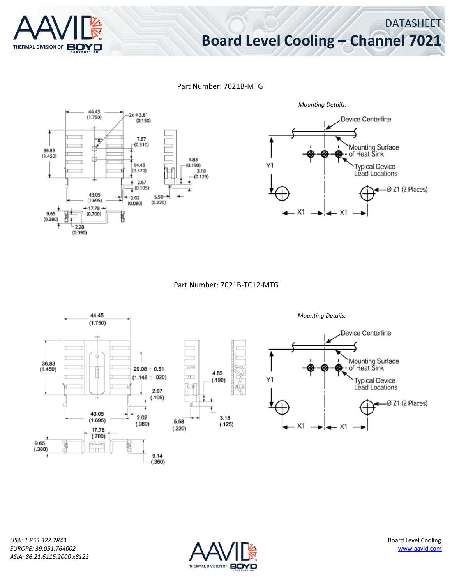

## **Board Level Cooling – Channel 7021**

DATASHEET

Part Number: 7021B‐MTG



Part Number: 7021B‐TC12‐MTG